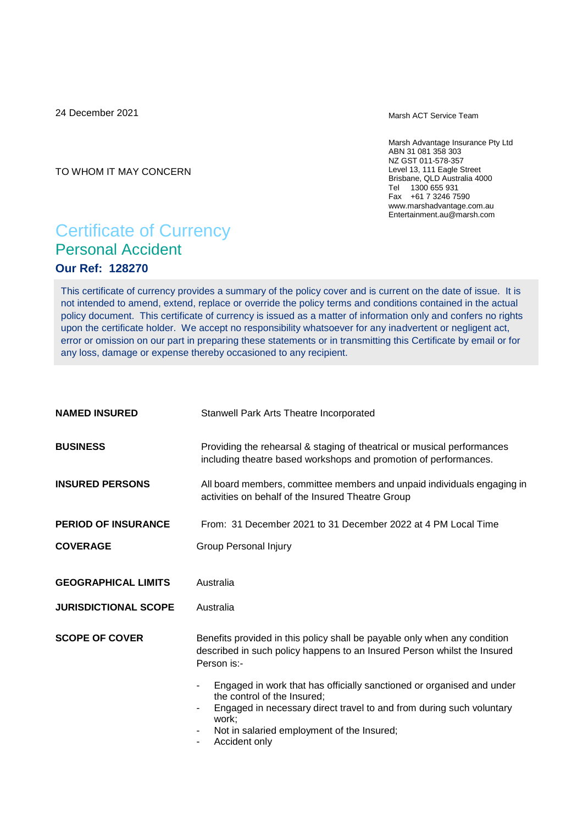24 December 2021

Marsh ACT Service Team

Marsh Advantage Insurance Pty Ltd ABN 31 081 358 303 NZ GST 011-578-357 Level 13, 111 Eagle Street Brisbane, QLD Australia 4000 Tel 1300 655 931 Fax +61 7 3246 7590 www.marshadvantage.com.au Entertainment.au@marsh.com

TO WHOM IT MAY CONCERN

# Certificate of Currency Personal Accident **Our Ref: 128270**

This certificate of currency provides a summary of the policy cover and is current on the date of issue. It is not intended to amend, extend, replace or override the policy terms and conditions contained in the actual policy document. This certificate of currency is issued as a matter of information only and confers no rights upon the certificate holder. We accept no responsibility whatsoever for any inadvertent or negligent act, error or omission on our part in preparing these statements or in transmitting this Certificate by email or for any loss, damage or expense thereby occasioned to any recipient.

| <b>NAMED INSURED</b>                                      | Stanwell Park Arts Theatre Incorporated                                                                                                                                                                                                              |
|-----------------------------------------------------------|------------------------------------------------------------------------------------------------------------------------------------------------------------------------------------------------------------------------------------------------------|
| <b>BUSINESS</b>                                           | Providing the rehearsal & staging of theatrical or musical performances<br>including theatre based workshops and promotion of performances.                                                                                                          |
| <b>INSURED PERSONS</b>                                    | All board members, committee members and unpaid individuals engaging in<br>activities on behalf of the Insured Theatre Group                                                                                                                         |
| <b>PERIOD OF INSURANCE</b>                                | From: 31 December 2021 to 31 December 2022 at 4 PM Local Time                                                                                                                                                                                        |
| <b>COVERAGE</b>                                           | <b>Group Personal Injury</b>                                                                                                                                                                                                                         |
| <b>GEOGRAPHICAL LIMITS</b><br><b>JURISDICTIONAL SCOPE</b> | Australia<br>Australia                                                                                                                                                                                                                               |
| <b>SCOPE OF COVER</b>                                     | Benefits provided in this policy shall be payable only when any condition<br>described in such policy happens to an Insured Person whilst the Insured<br>Person is:-                                                                                 |
|                                                           | Engaged in work that has officially sanctioned or organised and under<br>the control of the Insured;<br>Engaged in necessary direct travel to and from during such voluntary<br>work;<br>Not in salaried employment of the Insured;<br>Accident only |